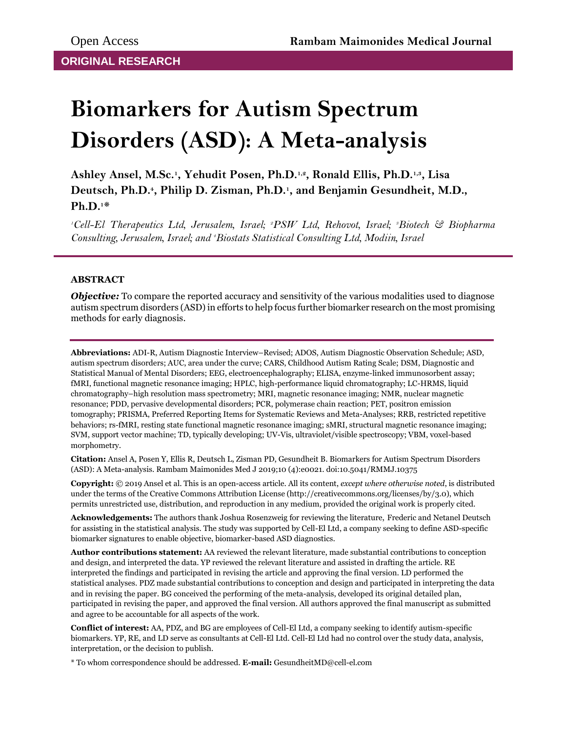# **Biomarkers for Autism Spectrum Disorders (ASD): A Meta-analysis**

**Ashley Ansel, M.Sc.<sup>1</sup> , Yehudit Posen, Ph.D.1,2, Ronald Ellis, Ph.D.1,3, Lisa Deutsch, Ph.D.<sup>4</sup> , Philip D. Zisman, Ph.D.<sup>1</sup> , and Benjamin Gesundheit, M.D., Ph.D.1\***

*<sup>1</sup>Cell-El Therapeutics Ltd, Jerusalem, Israel; 2PSW Ltd, Rehovot, Israel; 3Biotech & Biopharma Consulting, Jerusalem, Israel; and 4Biostats Statistical Consulting Ltd, Modiin, Israel*

## **ABSTRACT**

*Objective:* To compare the reported accuracy and sensitivity of the various modalities used to diagnose autism spectrum disorders (ASD) in efforts to help focus further biomarker research on the most promising methods for early diagnosis.

**Abbreviations:** ADI-R, Autism Diagnostic Interview–Revised; ADOS, Autism Diagnostic Observation Schedule; ASD, autism spectrum disorders; AUC, area under the curve; CARS, Childhood Autism Rating Scale; DSM, Diagnostic and Statistical Manual of Mental Disorders; EEG, electroencephalography; ELISA, enzyme-linked immunosorbent assay; fMRI, functional magnetic resonance imaging; HPLC, high-performance liquid chromatography; LC-HRMS, liquid chromatography–high resolution mass spectrometry; MRI, magnetic resonance imaging; NMR, nuclear magnetic resonance; PDD, pervasive developmental disorders; PCR, polymerase chain reaction; PET, positron emission tomography; PRISMA, Preferred Reporting Items for Systematic Reviews and Meta-Analyses; RRB, restricted repetitive behaviors; rs-fMRI, resting state functional magnetic resonance imaging; sMRI, structural magnetic resonance imaging; SVM, support vector machine; TD, typically developing; UV-Vis, ultraviolet/visible spectroscopy; VBM, voxel-based morphometry.

**Citation:** Ansel A, Posen Y, Ellis R, Deutsch L, Zisman PD, Gesundheit B. Biomarkers for Autism Spectrum Disorders (ASD): A Meta-analysis. Rambam Maimonides Med J 2019;10 (4):e0021. doi:10.5041/RMMJ.10375

**Copyright:** © 2019 Ansel et al. This is an open-access article. All its content, *except where otherwise noted*, is distributed under the terms of the Creative Commons Attribution License (http://creativecommons.org/licenses/by/3.0), which permits unrestricted use, distribution, and reproduction in any medium, provided the original work is properly cited.

**Acknowledgements:** The authors thank Joshua Rosenzweig for reviewing the literature, Frederic and Netanel Deutsch for assisting in the statistical analysis. The study was supported by Cell-El Ltd, a company seeking to define ASD-specific biomarker signatures to enable objective, biomarker-based ASD diagnostics.

**Author contributions statement:** AA reviewed the relevant literature, made substantial contributions to conception and design, and interpreted the data. YP reviewed the relevant literature and assisted in drafting the article. RE interpreted the findings and participated in revising the article and approving the final version. LD performed the statistical analyses. PDZ made substantial contributions to conception and design and participated in interpreting the data and in revising the paper. BG conceived the performing of the meta-analysis, developed its original detailed plan, participated in revising the paper, and approved the final version. All authors approved the final manuscript as submitted and agree to be accountable for all aspects of the work.

**Conflict of interest:** AA, PDZ, and BG are employees of Cell-El Ltd, a company seeking to identify autism-specific biomarkers. YP, RE, and LD serve as consultants at Cell-El Ltd. Cell-El Ltd had no control over the study data, analysis, interpretation, or the decision to publish.

\* To whom correspondence should be addressed. **E-mail:** GesundheitMD@cell-el.com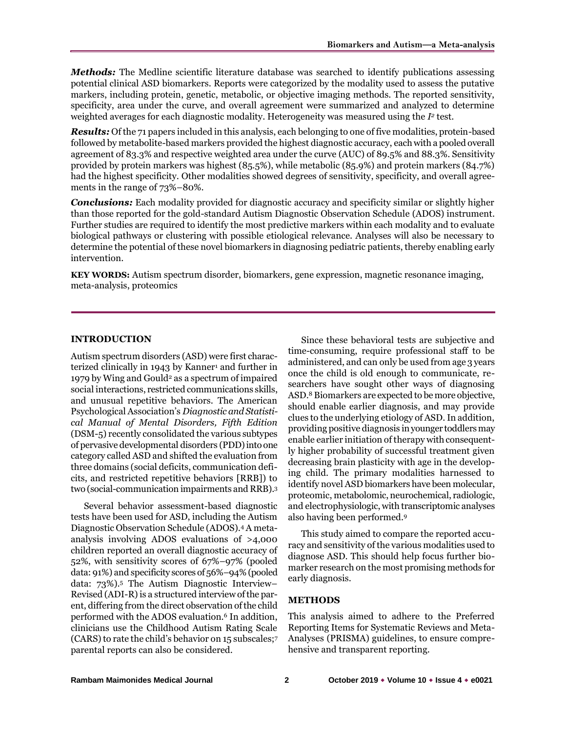*Methods:* The Medline scientific literature database was searched to identify publications assessing potential clinical ASD biomarkers. Reports were categorized by the modality used to assess the putative markers, including protein, genetic, metabolic, or objective imaging methods. The reported sensitivity, specificity, area under the curve, and overall agreement were summarized and analyzed to determine weighted averages for each diagnostic modality. Heterogeneity was measured using the  $I<sup>2</sup>$  test.

*Results:* Of the 71 papers included in this analysis, each belonging to one of five modalities, protein-based followed by metabolite-based markers provided the highest diagnostic accuracy, each with a pooled overall agreement of 83.3% and respective weighted area under the curve (AUC) of 89.5% and 88.3%. Sensitivity provided by protein markers was highest (85.5%), while metabolic (85.9%) and protein markers (84.7%) had the highest specificity. Other modalities showed degrees of sensitivity, specificity, and overall agreements in the range of 73%–80%.

*Conclusions:* Each modality provided for diagnostic accuracy and specificity similar or slightly higher than those reported for the gold-standard Autism Diagnostic Observation Schedule (ADOS) instrument. Further studies are required to identify the most predictive markers within each modality and to evaluate biological pathways or clustering with possible etiological relevance. Analyses will also be necessary to determine the potential of these novel biomarkers in diagnosing pediatric patients, thereby enabling early intervention.

**KEY WORDS:** Autism spectrum disorder, biomarkers, gene expression, magnetic resonance imaging, meta-analysis, proteomics

#### **INTRODUCTION**

Autism spectrum disorders (ASD) were first characterized clinically in 1943 by Kanner<sup>1</sup> and further in 1979 by Wing and Gould<sup>2</sup> as a spectrum of impaired social interactions, restricted communications skills, and unusual repetitive behaviors. The American Psychological Association's *Diagnostic and Statistical Manual of Mental Disorders, Fifth Edition* (DSM-5) recently consolidated the various subtypes of pervasive developmental disorders (PDD) into one category called ASD and shifted the evaluation from three domains (social deficits, communication deficits, and restricted repetitive behaviors [RRB]) to two (social-communication impairments and RRB).<sup>3</sup>

Several behavior assessment-based diagnostic tests have been used for ASD, including the Autism Diagnostic Observation Schedule (ADOS).<sup>4</sup> A metaanalysis involving ADOS evaluations of >4,000 children reported an overall diagnostic accuracy of 52%, with sensitivity scores of 67%–97% (pooled data: 91%) and specificity scores of 56%–94% (pooled data: 73%).<sup>5</sup> The Autism Diagnostic Interview– Revised (ADI-R) is a structured interview of the parent, differing from the direct observation of the child performed with the ADOS evaluation.<sup>6</sup> In addition, clinicians use the Childhood Autism Rating Scale (CARS) to rate the child's behavior on 15 subscales;<sup>7</sup> parental reports can also be considered.

Since these behavioral tests are subjective and time-consuming, require professional staff to be administered, and can only be used from age 3 years once the child is old enough to communicate, researchers have sought other ways of diagnosing ASD.<sup>8</sup> Biomarkers are expected to be more objective, should enable earlier diagnosis, and may provide clues to the underlying etiology of ASD. In addition, providing positive diagnosis in younger toddlers may enable earlier initiation of therapy with consequently higher probability of successful treatment given decreasing brain plasticity with age in the developing child. The primary modalities harnessed to identify novel ASD biomarkers have been molecular, proteomic, metabolomic, neurochemical, radiologic, and electrophysiologic, with transcriptomic analyses also having been performed.<sup>9</sup>

This study aimed to compare the reported accuracy and sensitivity of the various modalities used to diagnose ASD. This should help focus further biomarker research on the most promising methods for early diagnosis.

### **METHODS**

This analysis aimed to adhere to the Preferred Reporting Items for Systematic Reviews and Meta-Analyses (PRISMA) guidelines, to ensure comprehensive and transparent reporting.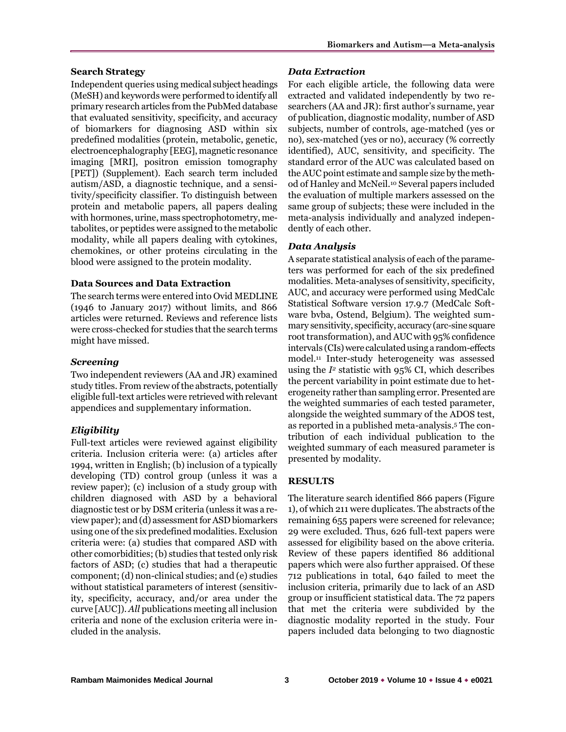### **Search Strategy**

Independent queries using medical subject headings (MeSH) and keywords were performed to identify all primary research articles from the PubMed database that evaluated sensitivity, specificity, and accuracy of biomarkers for diagnosing ASD within six predefined modalities (protein, metabolic, genetic, electroencephalography [EEG], magnetic resonance imaging [MRI], positron emission tomography [PET]) ([Supplement\)](https://www.rmmj.org.il/userimages/957/1/PublishFiles/980ArticleAM.pdf). Each search term included autism/ASD, a diagnostic technique, and a sensitivity/specificity classifier. To distinguish between protein and metabolic papers, all papers dealing with hormones, urine, mass spectrophotometry, metabolites, or peptides were assigned to the metabolic modality, while all papers dealing with cytokines, chemokines, or other proteins circulating in the blood were assigned to the protein modality.

### **Data Sources and Data Extraction**

The search terms were entered into Ovid MEDLINE (1946 to January 2017) without limits, and 866 articles were returned. Reviews and reference lists were cross-checked for studies that the search terms might have missed.

## *Screening*

Two independent reviewers (AA and JR) examined study titles. From review of the abstracts, potentially eligible full-text articles were retrieved with relevant appendices and supplementary information.

# *Eligibility*

Full-text articles were reviewed against eligibility criteria. Inclusion criteria were: (a) articles after 1994, written in English; (b) inclusion of a typically developing (TD) control group (unless it was a review paper); (c) inclusion of a study group with children diagnosed with ASD by a behavioral diagnostic test or by DSM criteria (unless it was a review paper); and (d) assessment for ASD biomarkers using one of the six predefined modalities. Exclusion criteria were: (a) studies that compared ASD with other comorbidities; (b) studies that tested only risk factors of ASD; (c) studies that had a therapeutic component; (d) non-clinical studies; and (e) studies without statistical parameters of interest (sensitivity, specificity, accuracy, and/or area under the curve [AUC]). *All* publications meeting all inclusion criteria and none of the exclusion criteria were included in the analysis.

## *Data Extraction*

For each eligible article, the following data were extracted and validated independently by two researchers (AA and JR): first author's surname, year of publication, diagnostic modality, number of ASD subjects, number of controls, age-matched (yes or no), sex-matched (yes or no), accuracy (% correctly identified), AUC, sensitivity, and specificity. The standard error of the AUC was calculated based on the AUC point estimate and sample size by the method of Hanley and McNeil.<sup>10</sup> Several papers included the evaluation of multiple markers assessed on the same group of subjects; these were included in the meta-analysis individually and analyzed independently of each other.

# *Data Analysis*

A separate statistical analysis of each of the parameters was performed for each of the six predefined modalities. Meta-analyses of sensitivity, specificity, AUC, and accuracy were performed using MedCalc Statistical Software version 17.9.7 (MedCalc Software bvba, Ostend, Belgium). The weighted summary sensitivity, specificity, accuracy (arc-sine square root transformation), and AUC with 95% confidence intervals (CIs) were calculated using a random-effects model.<sup>11</sup> Inter-study heterogeneity was assessed using the  $I^2$  statistic with  $95\%$  CI, which describes the percent variability in point estimate due to heterogeneity rather than sampling error. Presented are the weighted summaries of each tested parameter, alongside the weighted summary of the ADOS test, as reported in a published meta-analysis.<sup>5</sup> The contribution of each individual publication to the weighted summary of each measured parameter is presented by modality.

# **RESULTS**

The literature search identified 866 papers (Figure 1), of which 211 were duplicates. The abstracts of the remaining 655 papers were screened for relevance; 29 were excluded. Thus, 626 full-text papers were assessed for eligibility based on the above criteria. Review of these papers identified 86 additional papers which were also further appraised. Of these 712 publications in total, 640 failed to meet the inclusion criteria, primarily due to lack of an ASD group or insufficient statistical data. The 72 papers that met the criteria were subdivided by the diagnostic modality reported in the study. Four papers included data belonging to two diagnostic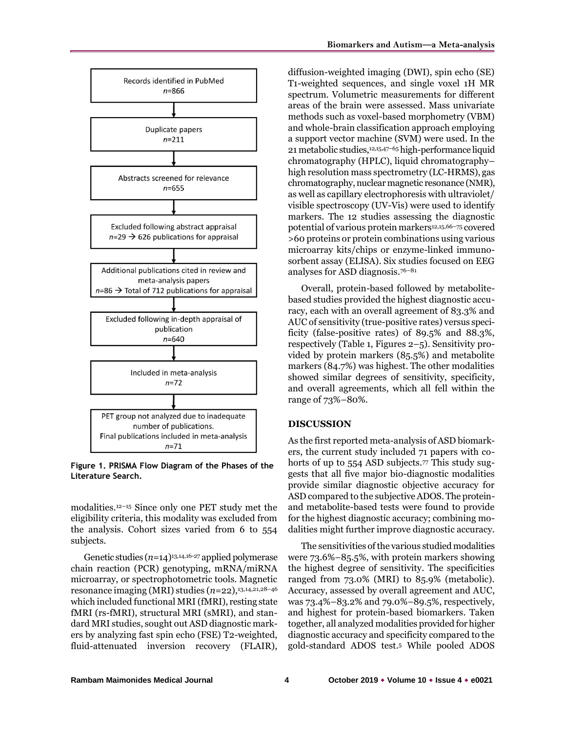

**Figure 1. PRISMA Flow Diagram of the Phases of the Literature Search.**

modalities. <sup>12</sup>–<sup>15</sup> Since only one PET study met the eligibility criteria, this modality was excluded from the analysis. Cohort sizes varied from 6 to 554 subjects.

Genetic studies (*n*=14)13,14,16-27 applied polymerase chain reaction (PCR) genotyping, mRNA/miRNA microarray, or spectrophotometric tools. Magnetic resonance imaging (MRI) studies (*n*=22),13,14,21,28–<sup>46</sup> which included functional MRI (fMRI), resting state fMRI (rs-fMRI), structural MRI (sMRI), and standard MRI studies, sought out ASD diagnostic markers by analyzing fast spin echo (FSE) T2-weighted, fluid-attenuated inversion recovery (FLAIR),

diffusion-weighted imaging (DWI), spin echo (SE) T1-weighted sequences, and single voxel 1H MR spectrum. Volumetric measurements for different areas of the brain were assessed. Mass univariate methods such as voxel-based morphometry (VBM) and whole-brain classification approach employing a support vector machine (SVM) were used. In the 21 metabolic studies,12,15,47–<sup>65</sup> high-performance liquid chromatography (HPLC), liquid chromatography– high resolution mass spectrometry (LC-HRMS), gas chromatography, nuclear magnetic resonance (NMR), as well as capillary electrophoresis with ultraviolet/ visible spectroscopy (UV-Vis) were used to identify markers. The 12 studies assessing the diagnostic potential of various protein markers<sup>12,15,66-75</sup> covered >60 proteins or protein combinations using various microarray kits/chips or enzyme-linked immunosorbent assay (ELISA). Six studies focused on EEG analyses for ASD diagnosis. 76–81

Overall, protein-based followed by metabolitebased studies provided the highest diagnostic accuracy, each with an overall agreement of 83.3% and AUC of sensitivity (true-positive rates) versus specificity (false-positive rates) of 89.5% and 88.3%, respectively (Table 1, Figures 2–5). Sensitivity provided by protein markers (85.5%) and metabolite markers (84.7%) was highest. The other modalities showed similar degrees of sensitivity, specificity, and overall agreements, which all fell within the range of 73%–80%.

#### **DISCUSSION**

As the first reported meta-analysis of ASD biomarkers, the current study included 71 papers with cohorts of up to 554 ASD subjects.<sup>77</sup> This study suggests that all five major bio-diagnostic modalities provide similar diagnostic objective accuracy for ASD compared to the subjective ADOS. The proteinand metabolite-based tests were found to provide for the highest diagnostic accuracy; combining modalities might further improve diagnostic accuracy.

The sensitivities of the various studied modalities were 73.6%–85.5%, with protein markers showing the highest degree of sensitivity. The specificities ranged from 73.0% (MRI) to 85.9% (metabolic). Accuracy, assessed by overall agreement and AUC, was 73.4%–83.2% and 79.0%–89.5%, respectively, and highest for protein-based biomarkers. Taken together, all analyzed modalities provided for higher diagnostic accuracy and specificity compared to the gold-standard ADOS test.<sup>5</sup> While pooled ADOS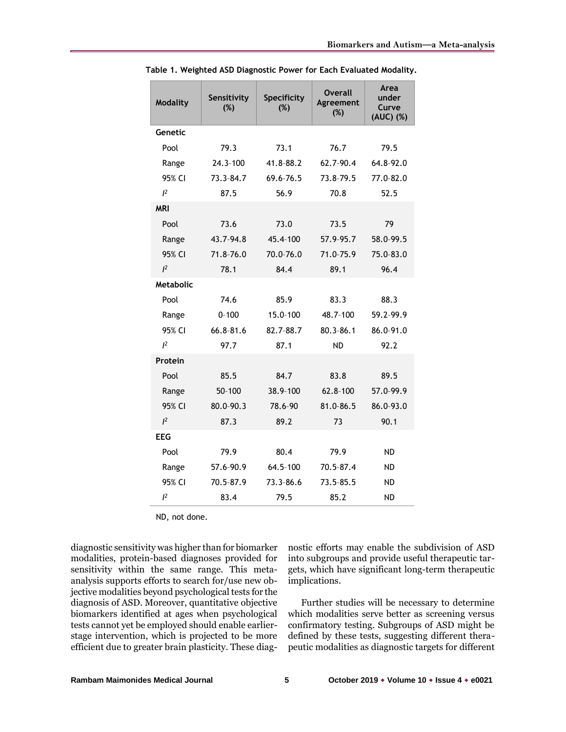| <b>Modality</b>  | Sensitivity<br>(%) | Specificity<br>(%) | Overall<br>Agreement<br>(%) | Area<br>under<br>Curve<br>(AUC) (%) |
|------------------|--------------------|--------------------|-----------------------------|-------------------------------------|
| Genetic          |                    |                    |                             |                                     |
| Pool             | 79.3               | 73.1               | 76.7                        | 79.5                                |
| Range            | 24.3-100           | 41.8-88.2          | 62.7-90.4                   | 64.8-92.0                           |
| 95% CI           | 73.3-84.7          | 69.6-76.5          | 73.8-79.5                   | 77.0-82.0                           |
| $l^2$            | 87.5               | 56.9               | 70.8                        | 52.5                                |
| <b>MRI</b>       |                    |                    |                             |                                     |
| Pool             | 73.6               | 73.0               | 73.5                        | 79                                  |
| Range            | 43.7-94.8          | 45.4-100           | 57.9-95.7                   | 58.0-99.5                           |
| 95% CI           | $71.8 - 76.0$      | 70.0-76.0          | 71.0-75.9                   | 75.0-83.0                           |
| $l^2$            | 78.1               | 84.4               | 89.1                        | 96.4                                |
| <b>Metabolic</b> |                    |                    |                             |                                     |
| Pool             | 74.6               | 85.9               | 83.3                        | 88.3                                |
| Range            | $0 - 100$          | 15.0-100           | 48.7-100                    | 59.2-99.9                           |
| 95% CI           | 66.8-81.6          | 82.7-88.7          | 80.3-86.1                   | 86.0-91.0                           |
| $l^2$            | 97.7               | 87.1               | <b>ND</b>                   | 92.2                                |
| Protein          |                    |                    |                             |                                     |
| Pool             | 85.5               | 84.7               | 83.8                        | 89.5                                |
| Range            | $50 - 100$         | 38.9-100           | 62.8-100                    | 57.0-99.9                           |
| 95% CI           | 80.0-90.3          | 78.6-90            | 81.0-86.5                   | 86.0-93.0                           |
| $l^2$            | 87.3               | 89.2               | 73                          | 90.1                                |
| <b>EEG</b>       |                    |                    |                             |                                     |
| Pool             | 79.9               | 80.4               | 79.9                        | <b>ND</b>                           |
| Range            | 57.6-90.9          | 64.5-100           | 70.5-87.4                   | ND                                  |
| 95% CI           | 70.5-87.9          | 73.3-86.6          | 73.5-85.5                   | <b>ND</b>                           |
| $l^2$            | 83.4               | 79.5               | 85.2                        | ND                                  |

**Table 1. Weighted ASD Diagnostic Power for Each Evaluated Modality.**

ND, not done.

diagnostic sensitivity was higher than for biomarker modalities, protein-based diagnoses provided for sensitivity within the same range. This metaanalysis supports efforts to search for/use new objective modalities beyond psychological tests for the diagnosis of ASD. Moreover, quantitative objective biomarkers identified at ages when psychological tests cannot yet be employed should enable earlierstage intervention, which is projected to be more efficient due to greater brain plasticity. These diagnostic efforts may enable the subdivision of ASD into subgroups and provide useful therapeutic targets, which have significant long-term therapeutic implications.

Further studies will be necessary to determine which modalities serve better as screening versus confirmatory testing. Subgroups of ASD might be defined by these tests, suggesting different therapeutic modalities as diagnostic targets for different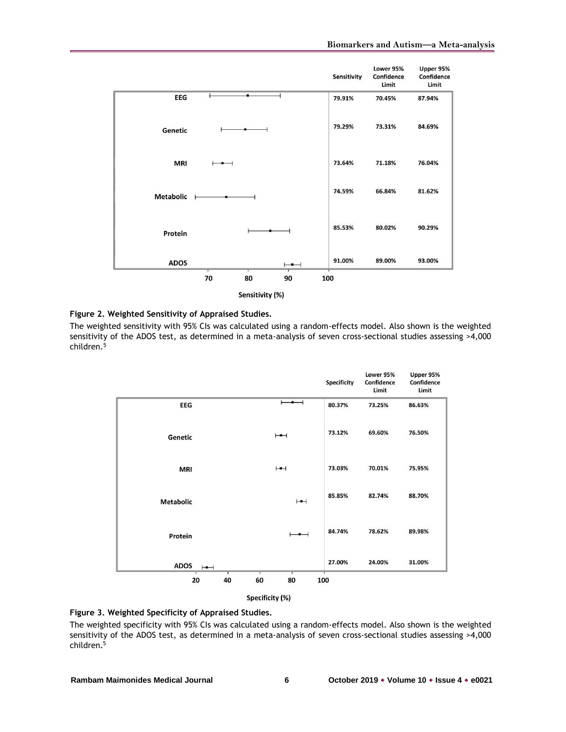|                  |                          | Sensitivity | Lower 95%<br>Confidence<br>Limit | Upper 95%<br>Confidence<br>Limit |
|------------------|--------------------------|-------------|----------------------------------|----------------------------------|
| <b>EEG</b>       |                          | 79.91%      | 70.45%                           | 87.94%                           |
| Genetic          |                          | 79.29%      | 73.31%                           | 84.69%                           |
| <b>MRI</b>       |                          | 73.64%      | 71.18%                           | 76.04%                           |
| <b>Metabolic</b> |                          | 74.59%      | 66.84%                           | 81.62%                           |
| Protein          |                          | 85.53%      | 80.02%                           | 90.29%                           |
| <b>ADOS</b>      | $\overline{\phantom{0}}$ | 91.00%      | 89.00%                           | 93.00%                           |
|                  | 70<br>80<br>90           | 100         |                                  |                                  |

Sensitivity (%)

#### **Figure 2. Weighted Sensitivity of Appraised Studies.**

The weighted sensitivity with 95% CIs was calculated using a random-effects model. Also shown is the weighted sensitivity of the ADOS test, as determined in a meta-analysis of seven cross-sectional studies assessing >4,000 children.<sup>5</sup>

|                          |                          | <b>Specificity</b> | Lower 95%<br>Confidence<br>Limit | Upper 95%<br>Confidence<br>Limit |
|--------------------------|--------------------------|--------------------|----------------------------------|----------------------------------|
| <b>EEG</b>               |                          | 80.37%             | 73.25%                           | 86.63%                           |
| Genetic                  | $\vdash$                 | 73.12%             | 69.60%                           | 76.50%                           |
| <b>MRI</b>               | $\vdash$                 | 73.03%             | 70.01%                           | 75.95%                           |
| <b>Metabolic</b>         | H                        | 85.85%             | 82.74%                           | 88.70%                           |
| Protein                  | $\overline{\phantom{0}}$ | 84.74%             | 78.62%                           | 89.98%                           |
| <b>ADOS</b><br>$\mapsto$ |                          | 27.00%             | 24.00%                           | 31.00%                           |
| 40<br>20                 | 80<br>60                 | 100                |                                  |                                  |



#### **Figure 3. Weighted Specificity of Appraised Studies.**

The weighted specificity with 95% CIs was calculated using a random-effects model. Also shown is the weighted sensitivity of the ADOS test, as determined in a meta-analysis of seven cross-sectional studies assessing >4,000 children. 5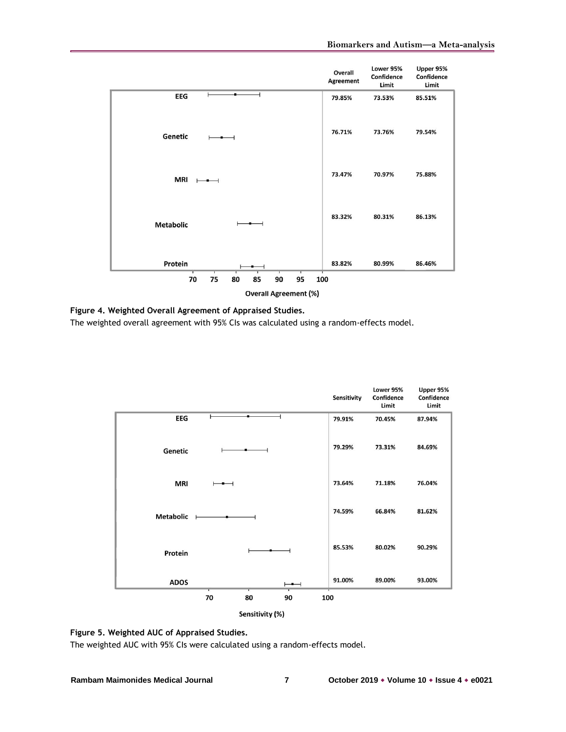|                                                    | Overall<br>Agreement | Lower 95%<br>Confidence<br>Limit | Upper 95%<br>Confidence<br>Limit |  |
|----------------------------------------------------|----------------------|----------------------------------|----------------------------------|--|
| EEG                                                | 79.85%               | 73.53%                           | 85.51%                           |  |
| Genetic                                            | 76.71%               | 73.76%                           | 79.54%                           |  |
| <b>MRI</b>                                         | 73.47%               | 70.97%                           | 75.88%                           |  |
| <b>Metabolic</b>                                   | 83.32%               | 80.31%                           | 86.13%                           |  |
| Protein<br>75<br>80<br>95<br>70<br>85<br>90<br>100 | 83.82%               | 80.99%                           | 86.46%                           |  |
|                                                    |                      |                                  |                                  |  |
| <b>Overall Agreement (%)</b>                       |                      |                                  |                                  |  |

**Figure 4. Weighted Overall Agreement of Appraised Studies.**

The weighted overall agreement with 95% CIs was calculated using a random-effects model.

|                  |    |    |                          | Sensitivity | Lower 95%<br>Confidence<br>Limit | Upper 95%<br>Confidence<br>Limit |
|------------------|----|----|--------------------------|-------------|----------------------------------|----------------------------------|
| EEG              |    |    |                          | 79.91%      | 70.45%                           | 87.94%                           |
| Genetic          |    |    |                          | 79.29%      | 73.31%                           | 84.69%                           |
| MRI              |    |    |                          | 73.64%      | 71.18%                           | 76.04%                           |
| <b>Metabolic</b> |    |    |                          | 74.59%      | 66.84%                           | 81.62%                           |
| Protein          |    |    |                          | 85.53%      | 80.02%                           | 90.29%                           |
| <b>ADOS</b>      |    |    | $\overline{\phantom{0}}$ | 91.00%      | 89.00%                           | 93.00%                           |
|                  | 70 | 80 | 90                       | 100         |                                  |                                  |
| Sensitivity (%)  |    |    |                          |             |                                  |                                  |



The weighted AUC with 95% CIs were calculated using a random-effects model.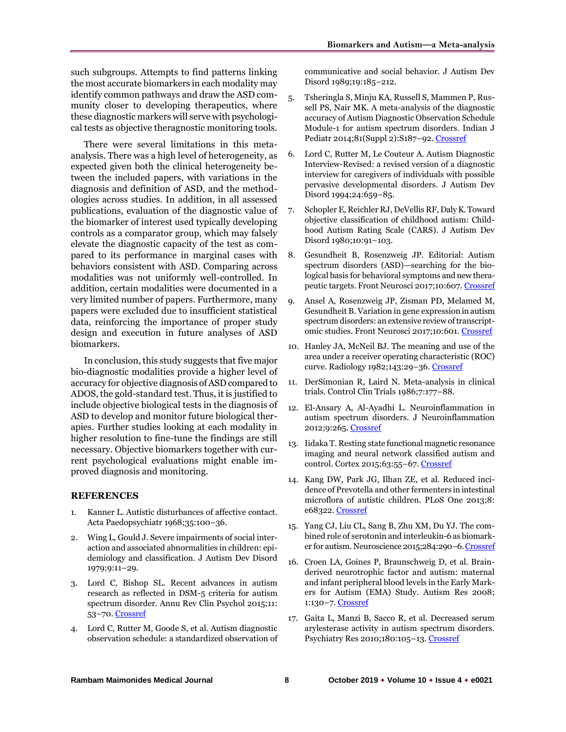such subgroups. Attempts to find patterns linking the most accurate biomarkers in each modality may identify common pathways and draw the ASD community closer to developing therapeutics, where these diagnostic markers will serve with psychological tests as objective theragnostic monitoring tools.

There were several limitations in this metaanalysis. There was a high level of heterogeneity, as expected given both the clinical heterogeneity between the included papers, with variations in the diagnosis and definition of ASD, and the methodologies across studies. In addition, in all assessed publications, evaluation of the diagnostic value of the biomarker of interest used typically developing controls as a comparator group, which may falsely elevate the diagnostic capacity of the test as compared to its performance in marginal cases with behaviors consistent with ASD. Comparing across modalities was not uniformly well-controlled. In addition, certain modalities were documented in a very limited number of papers. Furthermore, many papers were excluded due to insufficient statistical data, reinforcing the importance of proper study design and execution in future analyses of ASD biomarkers.

In conclusion, this study suggests that five major bio-diagnostic modalities provide a higher level of accuracy for objective diagnosis of ASD compared to ADOS, the gold-standard test. Thus, it is justified to include objective biological tests in the diagnosis of ASD to develop and monitor future biological therapies. Further studies looking at each modality in higher resolution to fine-tune the findings are still necessary. Objective biomarkers together with current psychological evaluations might enable improved diagnosis and monitoring.

#### **REFERENCES**

- 1. Kanner L. Autistic disturbances of affective contact. Acta Paedopsychiatr 1968;35:100–36.
- 2. Wing L, Gould J. Severe impairments of social interaction and associated abnormalities in children: epidemiology and classification. J Autism Dev Disord 1979;9:11–29.
- 3. Lord C, Bishop SL. Recent advances in autism research as reflected in DSM-5 criteria for autism spectrum disorder. Annu Rev Clin Psychol 2015;11: 53–70[. Crossref](https://doi.org/10.1146/annurev-clinpsy-032814-112745)
- 4. Lord C, Rutter M, Goode S, et al. Autism diagnostic observation schedule: a standardized observation of

communicative and social behavior. J Autism Dev Disord 1989;19:185–212.

- 5. Tsheringla S, Minju KA, Russell S, Mammen P, Russell PS, Nair MK. A meta-analysis of the diagnostic accuracy of Autism Diagnostic Observation Schedule Module-1 for autism spectrum disorders. Indian J Pediatr 2014;81(Suppl 2):S187–92[. Crossref](https://doi.org/10.1007/s12098-014-1627-9)
- 6. Lord C, Rutter M, Le Couteur A. Autism Diagnostic Interview-Revised: a revised version of a diagnostic interview for caregivers of individuals with possible pervasive developmental disorders. J Autism Dev Disord 1994;24:659–85.
- 7. Schopler E, Reichler RJ, DeVellis RF, Daly K. Toward objective classification of childhood autism: Childhood Autism Rating Scale (CARS). J Autism Dev Disord 1980;10:91–103.
- 8. Gesundheit B, Rosenzweig JP. Editorial: Autism spectrum disorders (ASD)—searching for the biological basis for behavioral symptoms and new therapeutic targets. Front Neurosci 2017;10:607[. Crossref](https://doi.org/10.3389/fnins.2016.00607)
- 9. Ansel A, Rosenzweig JP, Zisman PD, Melamed M, Gesundheit B. Variation in gene expression in autism spectrum disorders: an extensive review of transcriptomic studies. Front Neurosci 2017;10:601[. Crossref](https://doi.org/10.3389/fnins.2016.00601)
- 10. Hanley JA, McNeil BJ. The meaning and use of the area under a receiver operating characteristic (ROC) curve. Radiology 1982;143:29–36[. Crossref](https://doi.org/10.1148/radiology.143.1.7063747)
- 11. DerSimonian R, Laird N. Meta-analysis in clinical trials. Control Clin Trials 1986;7:177–88.
- 12. El-Ansary A, Al-Ayadhi L. Neuroinflammation in autism spectrum disorders. J Neuroinflammation 2012;9:265[. Crossref](https://doi.org/10.1186/1742-2094-9-265)
- 13. Iidaka T. Resting state functional magnetic resonance imaging and neural network classified autism and control. Cortex 2015;63:55–67[. Crossref](https://doi.org/10.1016/j.cortex.2014.08.011)
- 14. Kang DW, Park JG, Ilhan ZE, et al. Reduced incidence of Prevotella and other fermenters in intestinal microflora of autistic children. PLoS One 2013;8: e68322. [Crossref](https://doi.org/10.1371/journal.pone.0068322)
- 15. Yang CJ, Liu CL, Sang B, Zhu XM, Du YJ. The combined role of serotonin and interleukin-6 as biomarker for autism. Neuroscience 2015;284:290–6[. Crossref](https://doi.org/10.1016/j.neuroscience.2014.10.011)
- 16. Croen LA, Goines P, Braunschweig D, et al. Brainderived neurotrophic factor and autism: maternal and infant peripheral blood levels in the Early Markers for Autism (EMA) Study. Autism Res 2008; 1:130–7[. Crossref](https://doi.org/10.1002/aur.14)
- 17. Gaita L, Manzi B, Sacco R, et al. Decreased serum arylesterase activity in autism spectrum disorders. Psychiatry Res 2010;180:105–13. [Crossref](https://doi.org/10.1016/j.psychres.2010.04.010)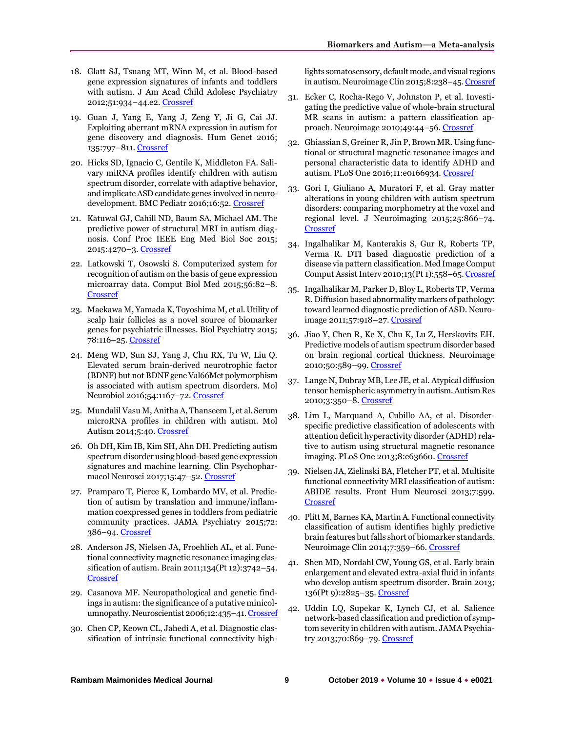- 18. Glatt SJ, Tsuang MT, Winn M, et al. Blood-based gene expression signatures of infants and toddlers with autism. J Am Acad Child Adolesc Psychiatry 2012;51:934–44.e2[. Crossref](https://doi.org/10.1016/j.jaac.2012.07.007)
- 19. Guan J, Yang E, Yang J, Zeng Y, Ji G, Cai JJ. Exploiting aberrant mRNA expression in autism for gene discovery and diagnosis. Hum Genet 2016; 135:797–811[. Crossref](https://doi.org/10.1007/s00439-016-1673-7)
- 20. Hicks SD, Ignacio C, Gentile K, Middleton FA. Salivary miRNA profiles identify children with autism spectrum disorder, correlate with adaptive behavior, and implicate ASD candidate genes involved in neuro-development. BMC Pediatr 2016;16:52[. Crossref](https://doi.org/10.1186/s12887-016-0586-x)
- 21. Katuwal GJ, Cahill ND, Baum SA, Michael AM. The predictive power of structural MRI in autism diagnosis. Conf Proc IEEE Eng Med Biol Soc 2015; 2015:4270–3. [Crossref](https://doi.org/10.1109/EMBC.2015.7319338)
- 22. Latkowski T, Osowski S. Computerized system for recognition of autism on the basis of gene expression microarray data. Comput Biol Med 2015;56:82–8. **[Crossref](https://doi.org/10.1016/j.compbiomed.2014.11.004)**
- 23. Maekawa M, Yamada K, Toyoshima M, et al. Utility of scalp hair follicles as a novel source of biomarker genes for psychiatric illnesses. Biol Psychiatry 2015; 78:116–25[. Crossref](https://doi.org/10.1016/j.biopsych.2014.07.025)
- 24. Meng WD, Sun SJ, Yang J, Chu RX, Tu W, Liu Q. Elevated serum brain-derived neurotrophic factor (BDNF) but not BDNF gene Val66Met polymorphism is associated with autism spectrum disorders. Mol Neurobiol 2016;54:1167-72. [Crossref](https://doi.org/10.1007/s12035-016-9721-9)
- 25. Mundalil Vasu M, Anitha A, Thanseem I, et al. Serum microRNA profiles in children with autism. Mol Autism 2014;5:40[. Crossref](https://doi.org/10.1186/2040-2392-5-40)
- 26. Oh DH, Kim IB, Kim SH, Ahn DH. Predicting autism spectrum disorder using blood-based gene expression signatures and machine learning. Clin Psychopharmacol Neurosci 2017;15:47–52[. Crossref](https://doi.org/10.9758/cpn.2017.15.1.47)
- 27. Pramparo T, Pierce K, Lombardo MV, et al. Prediction of autism by translation and immune/inflammation coexpressed genes in toddlers from pediatric community practices. JAMA Psychiatry 2015;72: 386–94[. Crossref](https://doi.org/10.1001/jamapsychiatry.2014.3008)
- 28. Anderson JS, Nielsen JA, Froehlich AL, et al. Functional connectivity magnetic resonance imaging classification of autism. Brain 2011;134(Pt 12):3742–54. [Crossref](https://doi.org/10.1093/brain/awr263)
- 29. Casanova MF. Neuropathological and genetic findings in autism: the significance of a putative minicolumnopathy. Neuroscientist 2006;12:435–41[. Crossref](https://doi.org/10.1177/1073858406290375)
- 30. Chen CP, Keown CL, Jahedi A, et al. Diagnostic classification of intrinsic functional connectivity high-

lights somatosensory, default mode, and visual regions in autism. Neuroimage Clin 2015;8:238–45[. Crossref](https://doi.org/10.1016/j.nicl.2015.04.002)

- 31. Ecker C, Rocha-Rego V, Johnston P, et al. Investigating the predictive value of whole-brain structural MR scans in autism: a pattern classification approach. Neuroimage 2010;49:44–56. [Crossref](https://doi.org/10.1016/j.neuroimage.2009.08.024)
- 32. Ghiassian S, Greiner R, Jin P, Brown MR. Using functional or structural magnetic resonance images and personal characteristic data to identify ADHD and autism. PLoS One 2016;11:e0166934[. Crossref](https://doi.org/10.1371/journal.pone.0166934)
- 33. Gori I, Giuliano A, Muratori F, et al. Gray matter alterations in young children with autism spectrum disorders: comparing morphometry at the voxel and regional level. J Neuroimaging 2015;25:866–74. [Crossref](https://doi.org/10.1111/jon.12280)
- 34. Ingalhalikar M, Kanterakis S, Gur R, Roberts TP, Verma R. DTI based diagnostic prediction of a disease via pattern classification. Med Image Comput Comput Assist Interv 2010;13(Pt 1):558–65[. Crossref](https://doi.org/10.1007/978-3-642-15705-9_68)
- 35. Ingalhalikar M, Parker D, Bloy L, Roberts TP, Verma R. Diffusion based abnormality markers of pathology: toward learned diagnostic prediction of ASD. Neuroimage 2011;57:918–27[. Crossref](https://doi.org/10.1016/j.neuroimage.2011.05.023)
- 36. Jiao Y, Chen R, Ke X, Chu K, Lu Z, Herskovits EH. Predictive models of autism spectrum disorder based on brain regional cortical thickness. Neuroimage 2010;50:589–99[. Crossref](https://doi.org/10.1016/j.neuroimage.2009.12.047)
- 37. Lange N, Dubray MB, Lee JE, et al. Atypical diffusion tensor hemispheric asymmetry in autism. Autism Res 2010;3:350–8[. Crossref](https://doi.org/10.1002/aur.162)
- 38. Lim L, Marquand A, Cubillo AA, et al. Disorderspecific predictive classification of adolescents with attention deficit hyperactivity disorder (ADHD) relative to autism using structural magnetic resonance imaging. PLoS One 2013;8:e63660. [Crossref](https://doi.org/10.1371/journal.pone.0063660)
- 39. Nielsen JA, Zielinski BA, Fletcher PT, et al. Multisite functional connectivity MRI classification of autism: ABIDE results. Front Hum Neurosci 2013;7:599. [Crossref](https://doi.org/10.3389/fnhum.2013.00599)
- 40. Plitt M, Barnes KA, Martin A. Functional connectivity classification of autism identifies highly predictive brain features but falls short of biomarker standards. Neuroimage Clin 2014;7:359–66[. Crossref](https://doi.org/10.1016/j.nicl.2014.12.013)
- 41. Shen MD, Nordahl CW, Young GS, et al. Early brain enlargement and elevated extra-axial fluid in infants who develop autism spectrum disorder. Brain 2013; 136(Pt 9):2825–35[. Crossref](https://doi.org/10.1093/brain/awt166)
- 42. Uddin LQ, Supekar K, Lynch CJ, et al. Salience network-based classification and prediction of symptom severity in children with autism. JAMA Psychiatry 2013;70:869–79[. Crossref](https://doi.org/10.1001/jamapsychiatry.2013.104)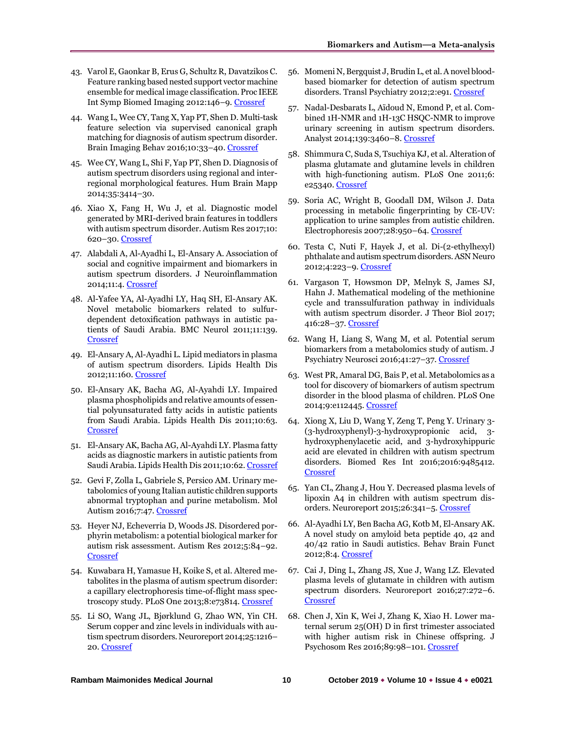- 43. Varol E, Gaonkar B, Erus G, Schultz R, Davatzikos C. Feature ranking based nested support vector machine ensemble for medical image classification. Proc IEEE Int Symp Biomed Imaging 2012:146–9[. Crossref](https://doi.org/10.1109/ISBI.2012.6235505)
- 44. Wang L, Wee CY, Tang X, Yap PT, Shen D. Multi-task feature selection via supervised canonical graph matching for diagnosis of autism spectrum disorder. Brain Imaging Behav 2016;10:33–40[. Crossref](https://doi.org/10.1007/s11682-015-9360-1)
- 45. Wee CY, Wang L, Shi F, Yap PT, Shen D. Diagnosis of autism spectrum disorders using regional and interregional morphological features. Hum Brain Mapp 2014;35:3414–30.
- 46. Xiao X, Fang H, Wu J, et al. Diagnostic model generated by MRI-derived brain features in toddlers with autism spectrum disorder. Autism Res 2017;10: 620–30. [Crossref](https://doi.org/10.1002/aur.1711)
- 47. Alabdali A, Al-Ayadhi L, El-Ansary A. Association of social and cognitive impairment and biomarkers in autism spectrum disorders. J Neuroinflammation 2014;11:4. [Crossref](https://doi.org/10.1186/1742-2094-11-4)
- 48. Al-Yafee YA, Al-Ayadhi LY, Haq SH, El-Ansary AK. Novel metabolic biomarkers related to sulfurdependent detoxification pathways in autistic patients of Saudi Arabia. BMC Neurol 2011;11:139. [Crossref](https://doi.org/10.1186/1471-2377-11-139)
- 49. El-Ansary A, Al-Ayadhi L. Lipid mediators in plasma of autism spectrum disorders. Lipids Health Dis 2012;11:160[. Crossref](https://doi.org/10.1186/1476-511X-11-160)
- 50. El-Ansary AK, Bacha AG, Al-Ayahdi LY. Impaired plasma phospholipids and relative amounts of essential polyunsaturated fatty acids in autistic patients from Saudi Arabia. Lipids Health Dis 2011;10:63. **[Crossref](https://doi.org/10.1186/1476-511X-10-63)**
- 51. El-Ansary AK, Bacha AG, Al-Ayahdi LY. Plasma fatty acids as diagnostic markers in autistic patients from Saudi Arabia. Lipids Health Dis 2011;10:62[. Crossref](https://doi.org/10.1186/1476-511X-10-62)
- 52. Gevi F, Zolla L, Gabriele S, Persico AM. Urinary metabolomics of young Italian autistic children supports abnormal tryptophan and purine metabolism. Mol Autism 2016;7:47[. Crossref](https://doi.org/10.1186/s13229-016-0109-5)
- 53. Heyer NJ, Echeverria D, Woods JS. Disordered porphyrin metabolism: a potential biological marker for autism risk assessment. Autism Res 2012;5:84–92. [Crossref](https://doi.org/10.1002/aur.236)
- 54. Kuwabara H, Yamasue H, Koike S, et al. Altered metabolites in the plasma of autism spectrum disorder: a capillary electrophoresis time-of-flight mass spectroscopy study. PLoS One 2013;8:e73814. [Crossref](https://doi.org/10.1371/journal.pone.0073814)
- 55. Li SO, Wang JL, Bjørklund G, Zhao WN, Yin CH. Serum copper and zinc levels in individuals with autism spectrum disorders. Neuroreport 2014;25:1216– 20[. Crossref](https://doi.org/10.1097/WNR.0000000000000251)
- 56. Momeni N, Bergquist J, Brudin L, et al. A novel bloodbased biomarker for detection of autism spectrum disorders. Transl Psychiatry 2012;2:e91. [Crossref](https://doi.org/10.1038/tp.2012.19)
- 57. Nadal-Desbarats L, Aїdoud N, Emond P, et al. Combined 1H-NMR and 1H-13C HSQC-NMR to improve urinary screening in autism spectrum disorders. Analyst 2014;139:3460–8. [Crossref](https://doi.org/10.1039/c4an00552j)
- 58. Shimmura C, Suda S, Tsuchiya KJ, et al. Alteration of plasma glutamate and glutamine levels in children with high-functioning autism. PLoS One 2011;6: e25340. [Crossref](https://doi.org/10.1371/journal.pone.0025340)
- 59. Soria AC, Wright B, Goodall DM, Wilson J. Data processing in metabolic fingerprinting by CE-UV: application to urine samples from autistic children. Electrophoresis 2007;28:950–64[. Crossref](https://doi.org/10.1002/elps.200600381)
- 60. Testa C, Nuti F, Hayek J, et al. Di-(2-ethylhexyl) phthalate and autism spectrum disorders. ASN Neuro 2012;4:223–9[. Crossref](https://doi.org/10.1042/AN20120015)
- 61. Vargason T, Howsmon DP, Melnyk S, James SJ, Hahn J. Mathematical modeling of the methionine cycle and transsulfuration pathway in individuals with autism spectrum disorder. J Theor Biol 2017; 416:28–37. [Crossref](https://doi.org/10.1016/j.jtbi.2016.12.021)
- 62. Wang H, Liang S, Wang M, et al. Potential serum biomarkers from a metabolomics study of autism. J Psychiatry Neurosci 2016;41:27–37[. Crossref](https://doi.org/10.1503/jpn.140009)
- 63. West PR, Amaral DG, Bais P, et al. Metabolomics as a tool for discovery of biomarkers of autism spectrum disorder in the blood plasma of children. PLoS One 2014;9:e112445[. Crossref](https://doi.org/10.1371/journal.pone.0112445)
- 64. Xiong X, Liu D, Wang Y, Zeng T, Peng Y. Urinary 3- (3-hydroxyphenyl)-3-hydroxypropionic acid, 3 hydroxyphenylacetic acid, and 3-hydroxyhippuric acid are elevated in children with autism spectrum disorders. Biomed Res Int 2016;2016:9485412. [Crossref](https://doi.org/10.1155/2016/9485412)
- 65. Yan CL, Zhang J, Hou Y. Decreased plasma levels of lipoxin A4 in children with autism spectrum disorders. Neuroreport 2015;26:341–5. [Crossref](https://doi.org/10.1097/WNR.0000000000000350)
- 66. Al-Ayadhi LY, Ben Bacha AG, Kotb M, El-Ansary AK. A novel study on amyloid beta peptide 40, 42 and 40/42 ratio in Saudi autistics. Behav Brain Funct 2012;8:4. [Crossref](https://doi.org/10.1186/1744-9081-8-4)
- 67. Cai J, Ding L, Zhang JS, Xue J, Wang LZ. Elevated plasma levels of glutamate in children with autism spectrum disorders. Neuroreport 2016;27:272–6. [Crossref](https://doi.org/10.1097/WNR.0000000000000532)
- 68. Chen J, Xin K, Wei J, Zhang K, Xiao H. Lower maternal serum 25(OH) D in first trimester associated with higher autism risk in Chinese offspring. J Psychosom Res 2016;89:98–101. [Crossref](https://doi.org/10.1016/j.jpsychores.2016.08.013)